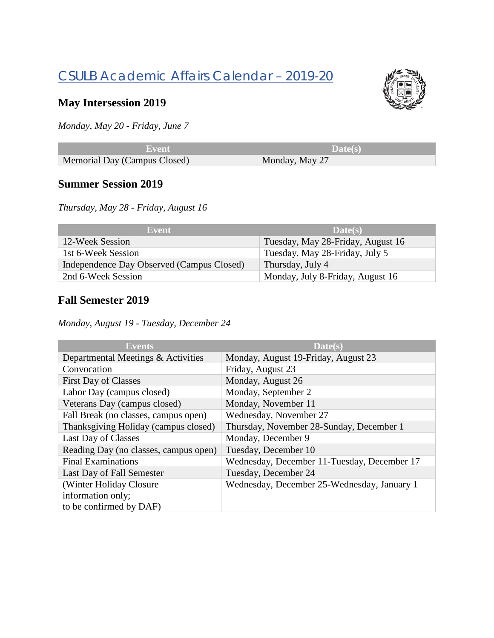# CSULB Academic Affairs Calendar – 2019-20



## **May Intersession 2019**

*Monday, May 20 - Friday, June 7*

| Event -                      | Date(s)        |
|------------------------------|----------------|
| Memorial Day (Campus Closed) | Monday, May 27 |

#### **Summer Session 2019**

*Thursday, May 28 - Friday, August 16*

| Event                                     | Date(s)                           |
|-------------------------------------------|-----------------------------------|
| 12-Week Session                           | Tuesday, May 28-Friday, August 16 |
| 1st 6-Week Session                        | Tuesday, May 28-Friday, July 5    |
| Independence Day Observed (Campus Closed) | Thursday, July 4                  |
| 2nd 6-Week Session                        | Monday, July 8-Friday, August 16  |

## **Fall Semester 2019**

*Monday, August 19 - Tuesday, December 24*

| Events                                | Date(s)                                     |
|---------------------------------------|---------------------------------------------|
| Departmental Meetings & Activities    | Monday, August 19-Friday, August 23         |
| Convocation                           | Friday, August 23                           |
| <b>First Day of Classes</b>           | Monday, August 26                           |
| Labor Day (campus closed)             | Monday, September 2                         |
| Veterans Day (campus closed)          | Monday, November 11                         |
| Fall Break (no classes, campus open)  | Wednesday, November 27                      |
| Thanksgiving Holiday (campus closed)  | Thursday, November 28-Sunday, December 1    |
| Last Day of Classes                   | Monday, December 9                          |
| Reading Day (no classes, campus open) | Tuesday, December 10                        |
| <b>Final Examinations</b>             | Wednesday, December 11-Tuesday, December 17 |
| Last Day of Fall Semester             | Tuesday, December 24                        |
| (Winter Holiday Closure)              | Wednesday, December 25-Wednesday, January 1 |
| information only;                     |                                             |
| to be confirmed by DAF)               |                                             |